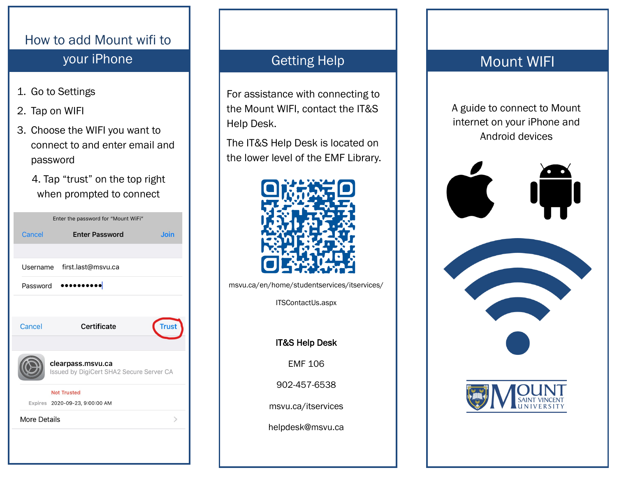# How to add Mount wifi to your iPhone Getting Help

- 1. Go to Settings
- 2. Tap on WIFI
- 3. Choose the WIFI you want to connect to and enter email and password
	- 4. Tap "trust" on the top right when prompted to connect

| Enter the password for "Mount WiFi"                           |                                                      |              |
|---------------------------------------------------------------|------------------------------------------------------|--------------|
| Cancel                                                        | <b>Enter Password</b>                                | <b>Join</b>  |
|                                                               |                                                      |              |
|                                                               | Username first.last@msvu.ca                          |              |
| Password<br>                                                  |                                                      |              |
|                                                               |                                                      |              |
| Cancel                                                        | Certificate                                          | <b>Trust</b> |
| clearpass.msvu.ca<br>Issued by DigiCert SHA2 Secure Server CA |                                                      |              |
|                                                               | <b>Not Trusted</b><br>Expires 2020-09-23, 9:00:00 AM |              |
| <b>More Details</b>                                           |                                                      |              |
|                                                               |                                                      |              |

For assistance with connecting to the Mount WIFI, contact the IT&S Help Desk.

The IT&S Help Desk is located on the lower level of the EMF Library.



msvu.ca/en/home/studentservices/itservices/

ITSContactUs.aspx

IT&S Help Desk

EMF 106

902-457-6538

msvu.ca/itservices

helpdesk@msvu.ca

# Mount WIFI

A guide to connect to Mount internet on your iPhone and Android devices